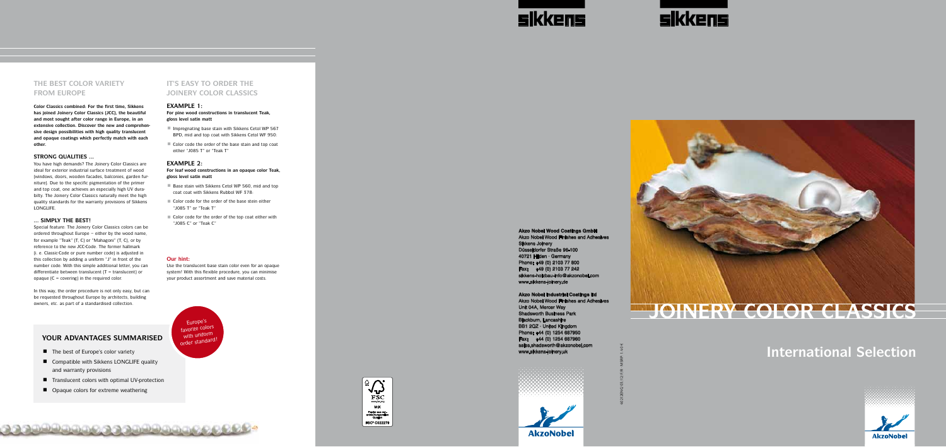40212ENG/03/12/F/R · MSRP: 1.40 €

**Akzo Nobel Wood Coatings GmbH**

Akzo Nobel Wood Finishes and Adhesives Sikkens Joinery Düsseldorfer Straße 96-100 40721 Hilden · Germany Phone: +49 (0) 2103 77 800 Fax: +49 (0) 2103 77 242 sikkens-holzbau-info@akzonobel.com www.sikkens-joinery.de

**Akzo Nobel Industrial Coatings ltd** Akzo Nobel Wood Finishes and Adhesives Unit 04A, Mercer Way Shadsworth Business Park Blackburn, Lancashire BB1 2QZ · United Kingdom Phone: +44 (0) 1254 687950 Fax: +44 (0) 1254 687960 sales.shadsworth@akzonobel.com www.sikkens-joinery.uk



**AkzoNobel** 



# **International Selection**



Special feature: The Joinery Color Classics colors can be ordered throughout Europe – either by the wood name, for example "Teak" (T, C) or "Mahagoni" (T, C), or by reference to the new JCC-Code. The former hallmark (i. e. Classic-Code or pure number code) is adjusted in this collection by adding a uniform "J" in front of the number code. With this simple additional letter, you can differentiate between translucent (T = translucent) or opaque  $(C = covering)$  in the required color. THE BEST COLOR VARIETY<br>FROM EUROPE<br>color Classics combined: For the first time, Silhas joined Joinery Golor Classics (CCC), the best<br>and most sought after color range in Europe, iextensive collection. Discover the new and

# **fROM EUROPE**

**Color Classics combined: For the first time, Sikkens has joined Joinery Color Classics (JCC), the beautiful and most sought after color range in Europe, in an extensive collection. Discover the new and comprehen sive design possibilities with high quality translucent and opaque coatings which perfectly match with each other.**

#### **Strong qual i ties ...**

You have high demands? The Joinery Color Classics are ideal for exterior industrial surface treatment of wood (windows, doors, wooden facades, balconies, garden furniture). Due to the specific pigmentation of the primer and top coat, one achieves an especially high UV dura bilty. The Joinery Color Classics naturally meet the high quality standards for the warranty provisions of Sikkens LONGLIFE.

#### **... s imply th e b est!**

- $\blacksquare$  Impregnating base stain with Sikkens Cetol WP 567 BPD, mid and top coat with Sikkens Cetol WF 950:
- Color code the order of the base stain and top coat either "J085 T" or "Teak T"

#### **EXAMPLE 2:**

- Base stain with Sikkens Cetol WP 560, mid and top coat coat with Sikkens Rubbol WF 378:
- $\blacksquare$  Color code for the order of the base stein either "J085 T" or "Teak T"
- Color code for the order of the top coat either with "J085 C" or "Teak C"

In this way, the order procedure is not only easy, but can be requested throughout Europe by architects, building

### **IT'S EASY TO ORDER THE JOINERY COLOR CLASSICS**

#### **EXAMPLE 1:**

#### **Our hint:**

ت C ت C ت C للعلاقية الأول

Europe's<br>**Example** colors

with uniform<br>order standard!

Use the translucent base stain color even for an opaque system! With this flexible procedure, you can minimise your product assortment and save material costs.

### **YO UR A DVA NTAG E S SUMMARI SED**

- $\blacksquare$  The best of Europe's color variety
- $\blacksquare$  Compatible with Sikkens LONGLIFE quality and warranty provisions
- Translucent colors with optimal UV-protection
- Opaque colors for extreme weathering







**For pine wood constructions in translucent Teak, gloss level satin matt**

**For leaf wood constructions in an opaque color Teak, gloss level satin matt**